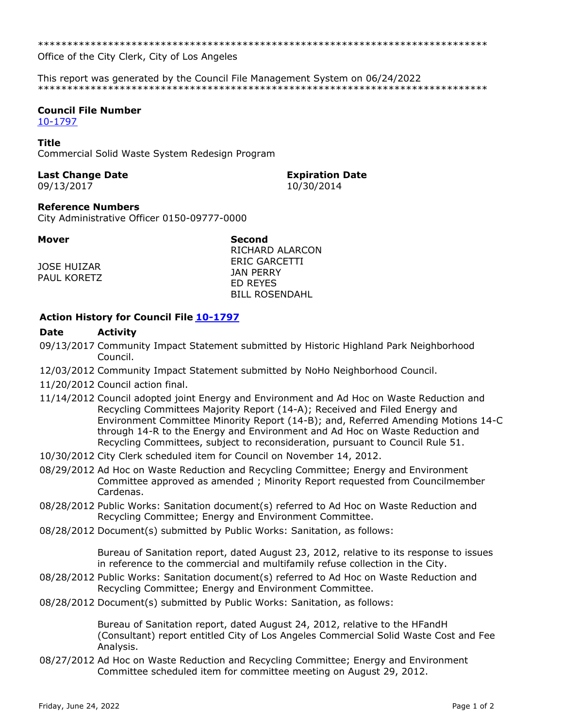Office of the City Clerk, City of Los Angeles

This report was generated by the Council File Management System on 06/24/2022 

# **Council File Number**

10-1797

## **Title**

Commercial Solid Waste System Redesign Program

## **Last Change Date**

09/13/2017

### **Expiration Date** 10/30/2014

**Reference Numbers** 

City Administrative Officer 0150-09777-0000

### **Mover**

**JOSE HUIZAR** PAUL KORETZ **Second** RICHARD ALARCON **ERIC GARCETTI JAN PERRY ED REYES BILL ROSENDAHL** 

## Action History for Council File 10-1797

#### **Date Activity**

- 09/13/2017 Community Impact Statement submitted by Historic Highland Park Neighborhood Council.
- 12/03/2012 Community Impact Statement submitted by NoHo Neighborhood Council.
- 11/20/2012 Council action final.
- 11/14/2012 Council adopted joint Energy and Environment and Ad Hoc on Waste Reduction and Recycling Committees Majority Report (14-A); Received and Filed Energy and Environment Committee Minority Report (14-B); and, Referred Amending Motions 14-C through 14-R to the Energy and Environment and Ad Hoc on Waste Reduction and Recycling Committees, subject to reconsideration, pursuant to Council Rule 51.
- 10/30/2012 City Clerk scheduled item for Council on November 14, 2012.
- 08/29/2012 Ad Hoc on Waste Reduction and Recycling Committee; Energy and Environment Committee approved as amended; Minority Report requested from Councilmember Cardenas.
- 08/28/2012 Public Works: Sanitation document(s) referred to Ad Hoc on Waste Reduction and Recycling Committee; Energy and Environment Committee.
- 08/28/2012 Document(s) submitted by Public Works: Sanitation, as follows:

Bureau of Sanitation report, dated August 23, 2012, relative to its response to issues in reference to the commercial and multifamily refuse collection in the City.

- 08/28/2012 Public Works: Sanitation document(s) referred to Ad Hoc on Waste Reduction and Recycling Committee; Energy and Environment Committee.
- 08/28/2012 Document(s) submitted by Public Works: Sanitation, as follows:

Bureau of Sanitation report, dated August 24, 2012, relative to the HFandH (Consultant) report entitled City of Los Angeles Commercial Solid Waste Cost and Fee Analysis.

08/27/2012 Ad Hoc on Waste Reduction and Recycling Committee; Energy and Environment Committee scheduled item for committee meeting on August 29, 2012.